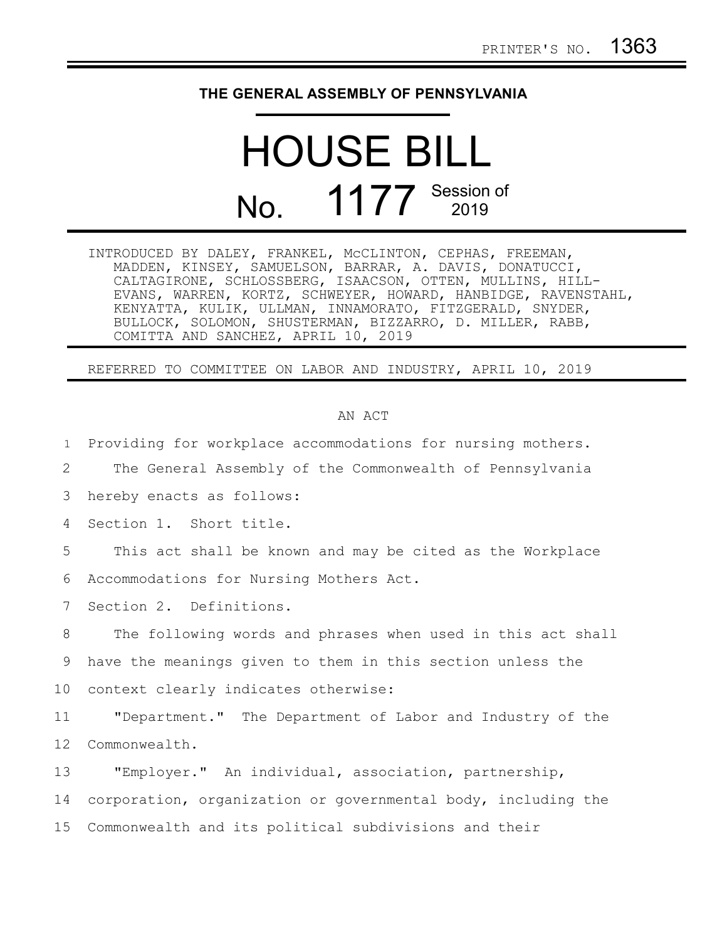## **THE GENERAL ASSEMBLY OF PENNSYLVANIA**

## HOUSE BILL No. 1177 Session of

INTRODUCED BY DALEY, FRANKEL, McCLINTON, CEPHAS, FREEMAN, MADDEN, KINSEY, SAMUELSON, BARRAR, A. DAVIS, DONATUCCI, CALTAGIRONE, SCHLOSSBERG, ISAACSON, OTTEN, MULLINS, HILL-EVANS, WARREN, KORTZ, SCHWEYER, HOWARD, HANBIDGE, RAVENSTAHL, KENYATTA, KULIK, ULLMAN, INNAMORATO, FITZGERALD, SNYDER, BULLOCK, SOLOMON, SHUSTERMAN, BIZZARRO, D. MILLER, RABB, COMITTA AND SANCHEZ, APRIL 10, 2019

REFERRED TO COMMITTEE ON LABOR AND INDUSTRY, APRIL 10, 2019

## AN ACT

| $\mathbf{1}$    | Providing for workplace accommodations for nursing mothers.   |
|-----------------|---------------------------------------------------------------|
| 2               | The General Assembly of the Commonwealth of Pennsylvania      |
| 3               | hereby enacts as follows:                                     |
| 4               | Section 1. Short title.                                       |
| 5               | This act shall be known and may be cited as the Workplace     |
| 6               | Accommodations for Nursing Mothers Act.                       |
| 7               | Section 2. Definitions.                                       |
| 8               | The following words and phrases when used in this act shall   |
| 9               | have the meanings given to them in this section unless the    |
| 10 <sub>1</sub> | context clearly indicates otherwise:                          |
| 11              | "Department." The Department of Labor and Industry of the     |
| 12              | Commonwealth.                                                 |
| 13              | "Employer." An individual, association, partnership,          |
| 14              | corporation, organization or governmental body, including the |
| 15 <sub>2</sub> | Commonwealth and its political subdivisions and their         |
|                 |                                                               |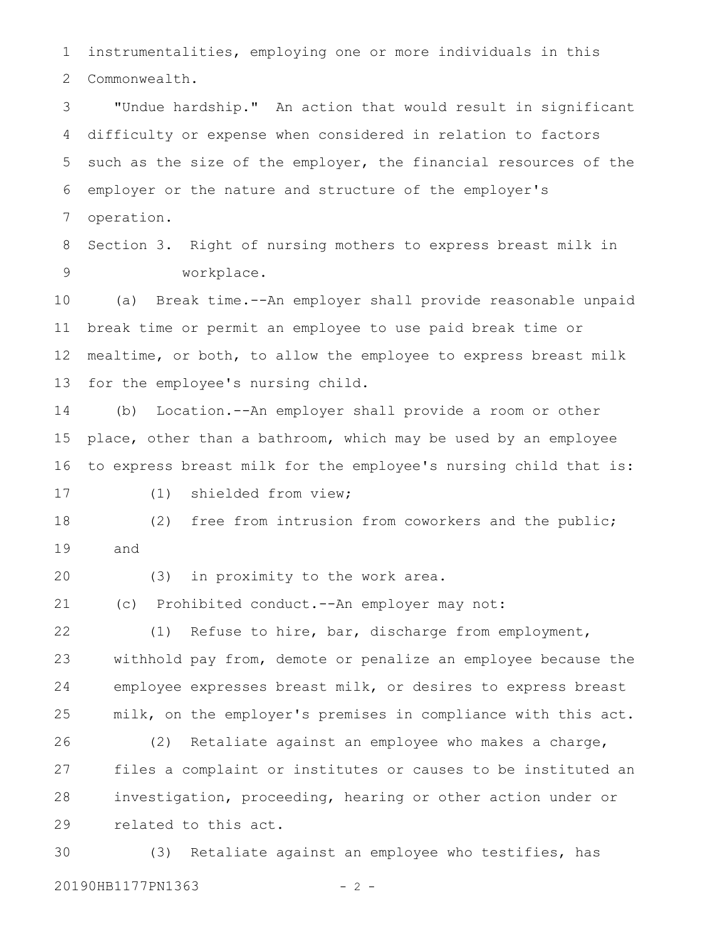instrumentalities, employing one or more individuals in this Commonwealth. 1 2

"Undue hardship." An action that would result in significant difficulty or expense when considered in relation to factors such as the size of the employer, the financial resources of the employer or the nature and structure of the employer's operation. 3 4 5 6 7

Section 3. Right of nursing mothers to express breast milk in workplace. 8 9

(a) Break time.--An employer shall provide reasonable unpaid break time or permit an employee to use paid break time or mealtime, or both, to allow the employee to express breast milk for the employee's nursing child. 10 11 12 13

(b) Location.--An employer shall provide a room or other place, other than a bathroom, which may be used by an employee to express breast milk for the employee's nursing child that is: 14 15 16

17

(1) shielded from view;

(2) free from intrusion from coworkers and the public; and 18 19

(3) in proximity to the work area. 20

(c) Prohibited conduct.--An employer may not: 21

(1) Refuse to hire, bar, discharge from employment, withhold pay from, demote or penalize an employee because the employee expresses breast milk, or desires to express breast milk, on the employer's premises in compliance with this act. 22 23 24 25

(2) Retaliate against an employee who makes a charge, files a complaint or institutes or causes to be instituted an investigation, proceeding, hearing or other action under or related to this act. 26 27 28 29

(3) Retaliate against an employee who testifies, has 20190HB1177PN1363 - 2 -30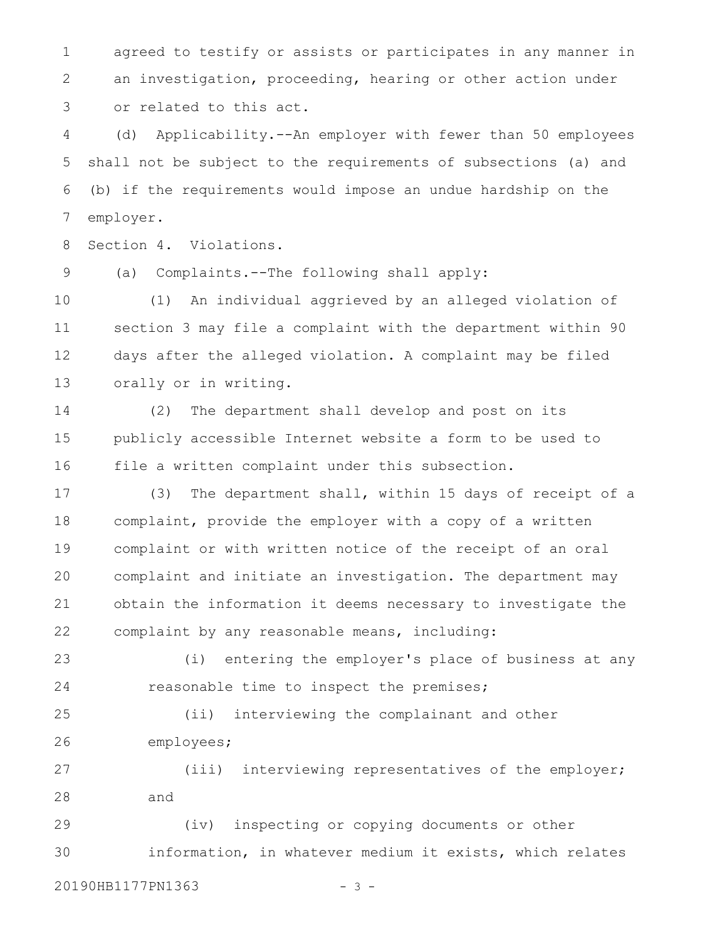agreed to testify or assists or participates in any manner in an investigation, proceeding, hearing or other action under or related to this act. 1 2 3

(d) Applicability.--An employer with fewer than 50 employees shall not be subject to the requirements of subsections (a) and (b) if the requirements would impose an undue hardship on the employer. 4 5 6 7

Section 4. Violations. 8

(a) Complaints.--The following shall apply: 9

(1) An individual aggrieved by an alleged violation of section 3 may file a complaint with the department within 90 days after the alleged violation. A complaint may be filed orally or in writing. 10 11 12 13

(2) The department shall develop and post on its publicly accessible Internet website a form to be used to file a written complaint under this subsection. 14 15 16

(3) The department shall, within 15 days of receipt of a complaint, provide the employer with a copy of a written complaint or with written notice of the receipt of an oral complaint and initiate an investigation. The department may obtain the information it deems necessary to investigate the complaint by any reasonable means, including: 17 18 19 20 21 22

(i) entering the employer's place of business at any reasonable time to inspect the premises; 23 24

(ii) interviewing the complainant and other employees; 25 26

(iii) interviewing representatives of the employer; and 27 28

(iv) inspecting or copying documents or other information, in whatever medium it exists, which relates 29 30

20190HB1177PN1363 - 3 -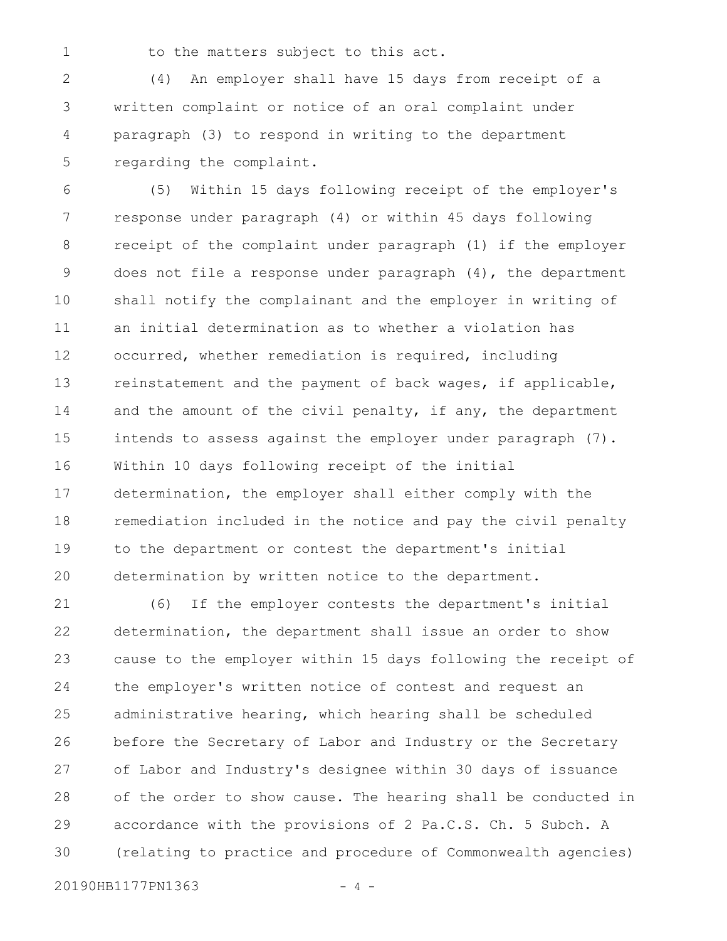1

to the matters subject to this act.

(4) An employer shall have 15 days from receipt of a written complaint or notice of an oral complaint under paragraph (3) to respond in writing to the department regarding the complaint. 2 3 4 5

(5) Within 15 days following receipt of the employer's response under paragraph (4) or within 45 days following receipt of the complaint under paragraph (1) if the employer does not file a response under paragraph (4), the department shall notify the complainant and the employer in writing of an initial determination as to whether a violation has occurred, whether remediation is required, including reinstatement and the payment of back wages, if applicable, and the amount of the civil penalty, if any, the department intends to assess against the employer under paragraph (7). Within 10 days following receipt of the initial determination, the employer shall either comply with the remediation included in the notice and pay the civil penalty to the department or contest the department's initial determination by written notice to the department. 6 7 8 9 10 11 12 13 14 15 16 17 18 19 20

(6) If the employer contests the department's initial determination, the department shall issue an order to show cause to the employer within 15 days following the receipt of the employer's written notice of contest and request an administrative hearing, which hearing shall be scheduled before the Secretary of Labor and Industry or the Secretary of Labor and Industry's designee within 30 days of issuance of the order to show cause. The hearing shall be conducted in accordance with the provisions of 2 Pa.C.S. Ch. 5 Subch. A (relating to practice and procedure of Commonwealth agencies) 21 22 23 24 25 26 27 28 29 30

20190HB1177PN1363 - 4 -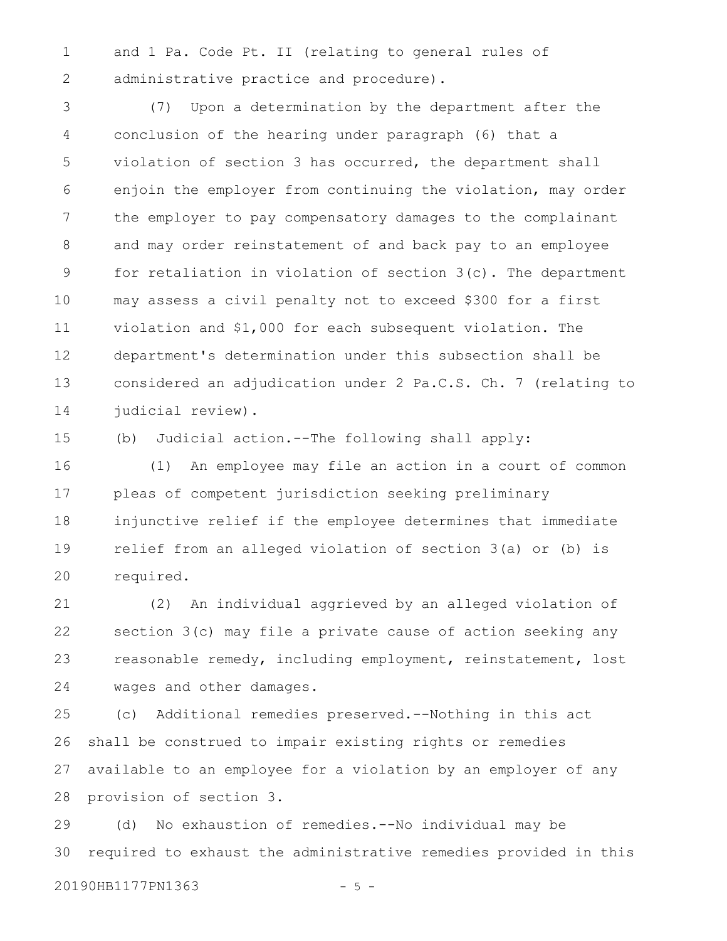and 1 Pa. Code Pt. II (relating to general rules of administrative practice and procedure). 1 2

(7) Upon a determination by the department after the conclusion of the hearing under paragraph (6) that a violation of section 3 has occurred, the department shall enjoin the employer from continuing the violation, may order the employer to pay compensatory damages to the complainant and may order reinstatement of and back pay to an employee for retaliation in violation of section 3(c). The department may assess a civil penalty not to exceed \$300 for a first violation and \$1,000 for each subsequent violation. The department's determination under this subsection shall be considered an adjudication under 2 Pa.C.S. Ch. 7 (relating to judicial review). 3 4 5 6 7 8 9 10 11 12 13 14

15

(b) Judicial action.--The following shall apply:

(1) An employee may file an action in a court of common pleas of competent jurisdiction seeking preliminary injunctive relief if the employee determines that immediate relief from an alleged violation of section 3(a) or (b) is required. 16 17 18 19 20

(2) An individual aggrieved by an alleged violation of section 3(c) may file a private cause of action seeking any reasonable remedy, including employment, reinstatement, lost wages and other damages. 21 22 23 24

(c) Additional remedies preserved.--Nothing in this act shall be construed to impair existing rights or remedies available to an employee for a violation by an employer of any provision of section 3. 25 26 27 28

(d) No exhaustion of remedies.--No individual may be required to exhaust the administrative remedies provided in this 29 30

20190HB1177PN1363 - 5 -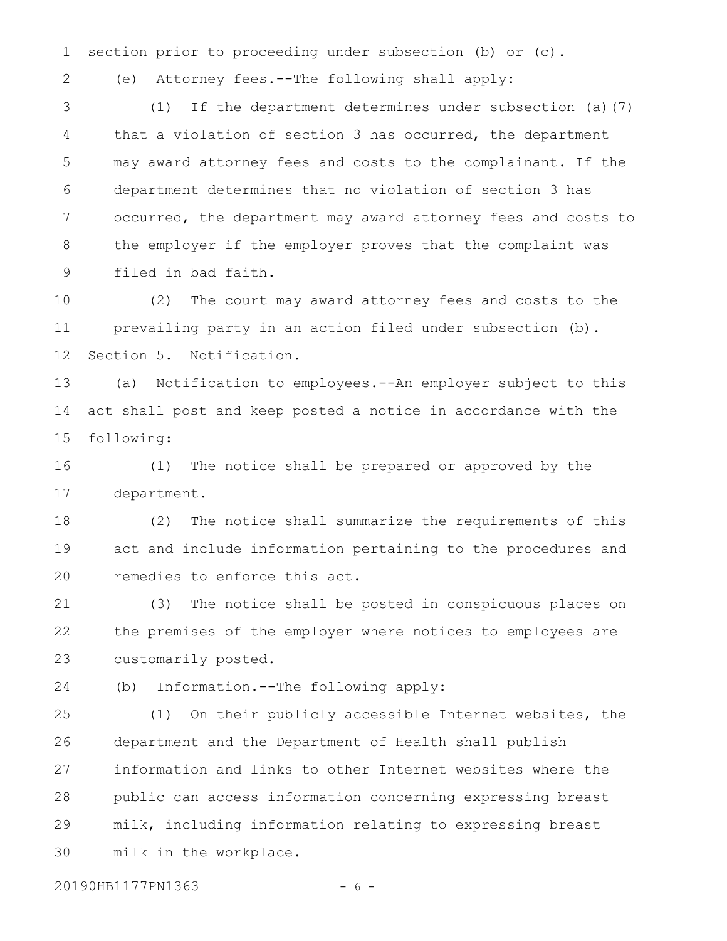section prior to proceeding under subsection (b) or (c). 1

2

(e) Attorney fees.--The following shall apply:

(1) If the department determines under subsection (a)(7) that a violation of section 3 has occurred, the department may award attorney fees and costs to the complainant. If the department determines that no violation of section 3 has occurred, the department may award attorney fees and costs to the employer if the employer proves that the complaint was filed in bad faith. 3 4 5 6 7 8 9

(2) The court may award attorney fees and costs to the prevailing party in an action filed under subsection (b). Section 5. Notification. 10 11 12

(a) Notification to employees.--An employer subject to this act shall post and keep posted a notice in accordance with the following: 13 14 15

(1) The notice shall be prepared or approved by the department. 16 17

(2) The notice shall summarize the requirements of this act and include information pertaining to the procedures and remedies to enforce this act. 18 19 20

(3) The notice shall be posted in conspicuous places on the premises of the employer where notices to employees are customarily posted. 21 22 23

(b) Information.--The following apply: 24

(1) On their publicly accessible Internet websites, the department and the Department of Health shall publish information and links to other Internet websites where the public can access information concerning expressing breast milk, including information relating to expressing breast milk in the workplace. 25 26 27 28 29 30

20190HB1177PN1363 - 6 -